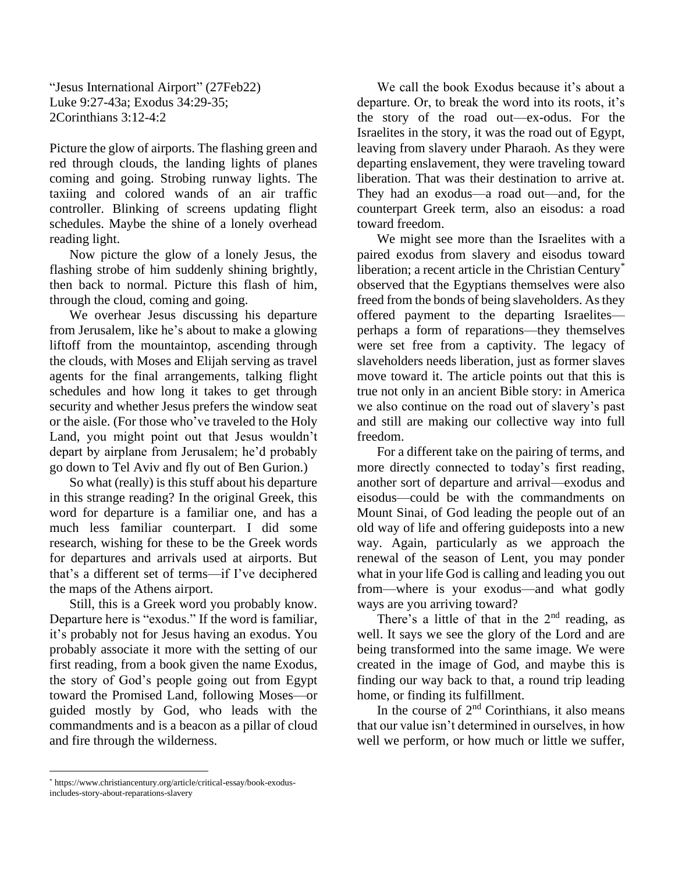"Jesus International Airport" (27Feb22) Luke 9:27-43a; Exodus 34:29-35; 2Corinthians 3:12-4:2

Picture the glow of airports. The flashing green and red through clouds, the landing lights of planes coming and going. Strobing runway lights. The taxiing and colored wands of an air traffic controller. Blinking of screens updating flight schedules. Maybe the shine of a lonely overhead reading light.

Now picture the glow of a lonely Jesus, the flashing strobe of him suddenly shining brightly, then back to normal. Picture this flash of him, through the cloud, coming and going.

We overhear Jesus discussing his departure from Jerusalem, like he's about to make a glowing liftoff from the mountaintop, ascending through the clouds, with Moses and Elijah serving as travel agents for the final arrangements, talking flight schedules and how long it takes to get through security and whether Jesus prefers the window seat or the aisle. (For those who've traveled to the Holy Land, you might point out that Jesus wouldn't depart by airplane from Jerusalem; he'd probably go down to Tel Aviv and fly out of Ben Gurion.)

So what (really) is this stuff about his departure in this strange reading? In the original Greek, this word for departure is a familiar one, and has a much less familiar counterpart. I did some research, wishing for these to be the Greek words for departures and arrivals used at airports. But that's a different set of terms—if I've deciphered the maps of the Athens airport.

Still, this is a Greek word you probably know. Departure here is "exodus." If the word is familiar, it's probably not for Jesus having an exodus. You probably associate it more with the setting of our first reading, from a book given the name Exodus, the story of God's people going out from Egypt toward the Promised Land, following Moses—or guided mostly by God, who leads with the commandments and is a beacon as a pillar of cloud and fire through the wilderness.

We call the book Exodus because it's about a departure. Or, to break the word into its roots, it's the story of the road out—ex-odus. For the Israelites in the story, it was the road out of Egypt, leaving from slavery under Pharaoh. As they were departing enslavement, they were traveling toward liberation. That was their destination to arrive at. They had an exodus—a road out—and, for the counterpart Greek term, also an eisodus: a road toward freedom.

We might see more than the Israelites with a paired exodus from slavery and eisodus toward liberation; a recent article in the Christian Century\* observed that the Egyptians themselves were also freed from the bonds of being slaveholders. As they offered payment to the departing Israelites perhaps a form of reparations—they themselves were set free from a captivity. The legacy of slaveholders needs liberation, just as former slaves move toward it. The article points out that this is true not only in an ancient Bible story: in America we also continue on the road out of slavery's past and still are making our collective way into full freedom.

For a different take on the pairing of terms, and more directly connected to today's first reading, another sort of departure and arrival—exodus and eisodus—could be with the commandments on Mount Sinai, of God leading the people out of an old way of life and offering guideposts into a new way. Again, particularly as we approach the renewal of the season of Lent, you may ponder what in your life God is calling and leading you out from—where is your exodus—and what godly ways are you arriving toward?

There's a little of that in the  $2<sup>nd</sup>$  reading, as well. It says we see the glory of the Lord and are being transformed into the same image. We were created in the image of God, and maybe this is finding our way back to that, a round trip leading home, or finding its fulfillment.

In the course of  $2<sup>nd</sup>$  Corinthians, it also means that our value isn't determined in ourselves, in how well we perform, or how much or little we suffer,

<sup>\*</sup> https://www.christiancentury.org/article/critical-essay/book-exodusincludes-story-about-reparations-slavery